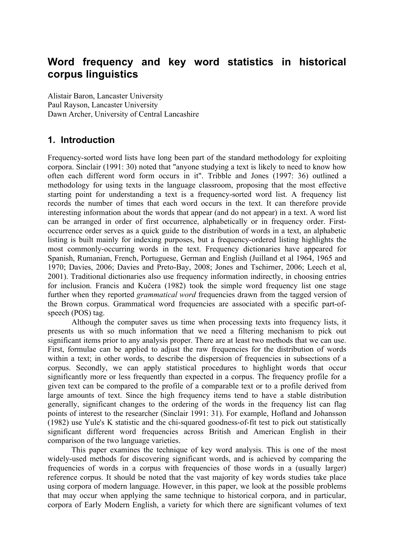# **Word frequency and key word statistics in historical corpus linguistics**

Alistair Baron, Lancaster University Paul Rayson, Lancaster University Dawn Archer, University of Central Lancashire

## **1. Introduction**

Frequency-sorted word lists have long been part of the standard methodology for exploiting corpora. Sinclair (1991: 30) noted that "anyone studying a text is likely to need to know how often each different word form occurs in it". Tribble and Jones (1997: 36) outlined a methodology for using texts in the language classroom, proposing that the most effective starting point for understanding a text is a frequency-sorted word list. A frequency list records the number of times that each word occurs in the text. It can therefore provide interesting information about the words that appear (and do not appear) in a text. A word list can be arranged in order of first occurrence, alphabetically or in frequency order. Firstoccurrence order serves as a quick guide to the distribution of words in a text, an alphabetic listing is built mainly for indexing purposes, but a frequency-ordered listing highlights the most commonly-occurring words in the text. Frequency dictionaries have appeared for Spanish, Rumanian, French, Portuguese, German and English (Juilland et al 1964, 1965 and 1970; Davies, 2006; Davies and Preto-Bay, 2008; Jones and Tschirner, 2006; Leech et al, 2001). Traditional dictionaries also use frequency information indirectly, in choosing entries for inclusion. Francis and Kučera (1982) took the simple word frequency list one stage further when they reported *grammatical word* frequencies drawn from the tagged version of the Brown corpus. Grammatical word frequencies are associated with a specific part-ofspeech (POS) tag.

Although the computer saves us time when processing texts into frequency lists, it presents us with so much information that we need a filtering mechanism to pick out significant items prior to any analysis proper. There are at least two methods that we can use. First, formulae can be applied to adjust the raw frequencies for the distribution of words within a text; in other words, to describe the dispersion of frequencies in subsections of a corpus. Secondly, we can apply statistical procedures to highlight words that occur significantly more or less frequently than expected in a corpus. The frequency profile for a given text can be compared to the profile of a comparable text or to a profile derived from large amounts of text. Since the high frequency items tend to have a stable distribution generally, significant changes to the ordering of the words in the frequency list can flag points of interest to the researcher (Sinclair 1991: 31). For example, Hofland and Johansson (1982) use Yule's K statistic and the chi-squared goodness-of-fit test to pick out statistically significant different word frequencies across British and American English in their comparison of the two language varieties.

This paper examines the technique of key word analysis. This is one of the most widely-used methods for discovering significant words, and is achieved by comparing the frequencies of words in a corpus with frequencies of those words in a (usually larger) reference corpus. It should be noted that the vast majority of key words studies take place using corpora of modern language. However, in this paper, we look at the possible problems that may occur when applying the same technique to historical corpora, and in particular, corpora of Early Modern English, a variety for which there are significant volumes of text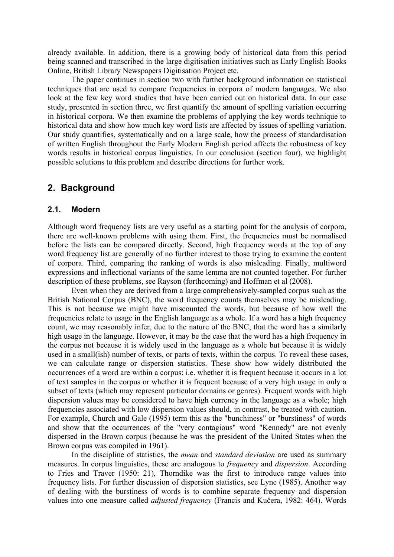already available. In addition, there is a growing body of historical data from this period being scanned and transcribed in the large digitisation initiatives such as Early English Books Online, British Library Newspapers Digitisation Project etc.

The paper continues in section two with further background information on statistical techniques that are used to compare frequencies in corpora of modern languages. We also look at the few key word studies that have been carried out on historical data. In our case study, presented in section three, we first quantify the amount of spelling variation occurring in historical corpora. We then examine the problems of applying the key words technique to historical data and show how much key word lists are affected by issues of spelling variation. Our study quantifies, systematically and on a large scale, how the process of standardisation of written English throughout the Early Modern English period affects the robustness of key words results in historical corpus linguistics. In our conclusion (section four), we highlight possible solutions to this problem and describe directions for further work.

### **2. Background**

#### **2.1. Modern**

Although word frequency lists are very useful as a starting point for the analysis of corpora, there are well-known problems with using them. First, the frequencies must be normalised before the lists can be compared directly. Second, high frequency words at the top of any word frequency list are generally of no further interest to those trying to examine the content of corpora. Third, comparing the ranking of words is also misleading. Finally, multiword expressions and inflectional variants of the same lemma are not counted together. For further description of these problems, see Rayson (forthcoming) and Hoffman et al (2008).

Even when they are derived from a large comprehensively-sampled corpus such as the British National Corpus (BNC), the word frequency counts themselves may be misleading. This is not because we might have miscounted the words, but because of how well the frequencies relate to usage in the English language as a whole. If a word has a high frequency count, we may reasonably infer, due to the nature of the BNC, that the word has a similarly high usage in the language. However, it may be the case that the word has a high frequency in the corpus not because it is widely used in the language as a whole but because it is widely used in a small(ish) number of texts, or parts of texts, within the corpus. To reveal these cases, we can calculate range or dispersion statistics. These show how widely distributed the occurrences of a word are within a corpus: i.e. whether it is frequent because it occurs in a lot of text samples in the corpus or whether it is frequent because of a very high usage in only a subset of texts (which may represent particular domains or genres). Frequent words with high dispersion values may be considered to have high currency in the language as a whole; high frequencies associated with low dispersion values should, in contrast, be treated with caution. For example, Church and Gale (1995) term this as the "bunchiness" or "burstiness" of words and show that the occurrences of the "very contagious" word "Kennedy" are not evenly dispersed in the Brown corpus (because he was the president of the United States when the Brown corpus was compiled in 1961).

In the discipline of statistics, the *mean* and *standard deviation* are used as summary measures. In corpus linguistics, these are analogous to *frequency* and *dispersion*. According to Fries and Traver (1950: 21), Thorndike was the first to introduce range values into frequency lists. For further discussion of dispersion statistics, see Lyne (1985). Another way of dealing with the burstiness of words is to combine separate frequency and dispersion values into one measure called *adjusted frequency* (Francis and Kučera, 1982: 464). Words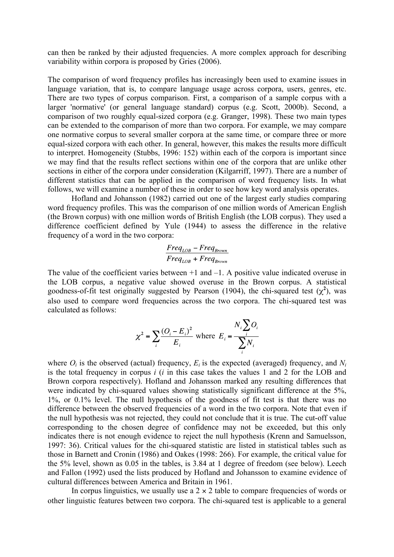can then be ranked by their adjusted frequencies. A more complex approach for describing variability within corpora is proposed by Gries (2006).

The comparison of word frequency profiles has increasingly been used to examine issues in language variation, that is, to compare language usage across corpora, users, genres, etc. There are two types of corpus comparison. First, a comparison of a sample corpus with a larger 'normative' (or general language standard) corpus (e.g. Scott, 2000b). Second, a comparison of two roughly equal-sized corpora (e.g. Granger, 1998). These two main types can be extended to the comparison of more than two corpora. For example, we may compare one normative corpus to several smaller corpora at the same time, or compare three or more equal-sized corpora with each other. In general, however, this makes the results more difficult to interpret. Homogeneity (Stubbs, 1996: 152) within each of the corpora is important since we may find that the results reflect sections within one of the corpora that are unlike other sections in either of the corpora under consideration (Kilgarriff, 1997). There are a number of different statistics that can be applied in the comparison of word frequency lists. In what follows, we will examine a number of these in order to see how key word analysis operates.

Hofland and Johansson (1982) carried out one of the largest early studies comparing word frequency profiles. This was the comparison of one million words of American English (the Brown corpus) with one million words of British English (the LOB corpus). They used a difference coefficient defined by Yule (1944) to assess the difference in the relative frequency of a word in the two corpora:

$$
\frac{Freq_{LOB} - Freq_{Brown}}{Freq_{LOB} + Freq_{Brown}}
$$

The value of the coefficient varies between  $+1$  and  $-1$ . A positive value indicated overuse in the LOB corpus, a negative value showed overuse in the Brown corpus. A statistical goodness-of-fit test originally suggested by Pearson (1904), the chi-squared test  $(\chi^2)$ , was also used to compare word frequencies across the two corpora. The chi-squared test was calculated as follows:

$$
\chi^2 = \sum_i \frac{(O_i - E_i)^2}{E_i} \text{ where } E_i = \frac{N_i \sum_i O_i}{\sum_i N_i}
$$

where  $O_i$  is the observed (actual) frequency,  $E_i$  is the expected (averaged) frequency, and  $N_i$ is the total frequency in corpus *i* (*i* in this case takes the values 1 and 2 for the LOB and Brown corpora respectively). Hofland and Johansson marked any resulting differences that were indicated by chi-squared values showing statistically significant difference at the 5%, 1%, or 0.1% level. The null hypothesis of the goodness of fit test is that there was no difference between the observed frequencies of a word in the two corpora. Note that even if the null hypothesis was not rejected, they could not conclude that it is true. The cut-off value corresponding to the chosen degree of confidence may not be exceeded, but this only indicates there is not enough evidence to reject the null hypothesis (Krenn and Samuelsson, 1997: 36). Critical values for the chi-squared statistic are listed in statistical tables such as those in Barnett and Cronin (1986) and Oakes (1998: 266). For example, the critical value for the 5% level, shown as 0.05 in the tables, is 3.84 at 1 degree of freedom (see below). Leech and Fallon (1992) used the lists produced by Hofland and Johansson to examine evidence of cultural differences between America and Britain in 1961.

In corpus linguistics, we usually use a  $2 \times 2$  table to compare frequencies of words or other linguistic features between two corpora. The chi-squared test is applicable to a general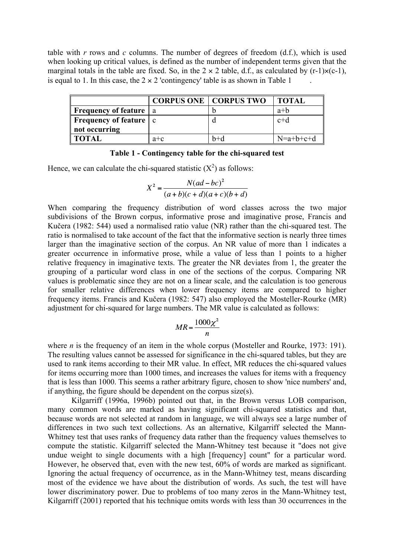table with *r* rows and *c* columns. The number of degrees of freedom (d.f.), which is used when looking up critical values, is defined as the number of independent terms given that the marginal totals in the table are fixed. So, in the  $2 \times 2$  table, d.f., as calculated by (r-1) $\times$ (c-1), is equal to 1. In this case, the  $2 \times 2$  'contingency' table is as shown in Table 1

|                                         |         | <b>CORPUS ONE   CORPUS TWO</b> | <b>TOTAL</b> |
|-----------------------------------------|---------|--------------------------------|--------------|
| <b>Frequency of feature</b> a           |         |                                | $a+b$        |
| <b>Frequency of feature</b> $\mathbf c$ |         |                                | $c+d$        |
| not occurring                           |         |                                |              |
| II TOTAL                                | $a + c$ | $h+d$                          | $N=a+b+c+d$  |

| Table 1 - Contingency table for the chi-squared test |
|------------------------------------------------------|
|------------------------------------------------------|

Hence, we can calculate the chi-squared statistic  $(X^2)$  as follows:

$$
X^{2} = \frac{N(ad - bc)^{2}}{(a+b)(c+d)(a+c)(b+d)}
$$

When comparing the frequency distribution of word classes across the two major subdivisions of the Brown corpus, informative prose and imaginative prose, Francis and Kučera (1982: 544) used a normalised ratio value (NR) rather than the chi-squared test. The ratio is normalised to take account of the fact that the informative section is nearly three times larger than the imaginative section of the corpus. An NR value of more than 1 indicates a greater occurrence in informative prose, while a value of less than 1 points to a higher relative frequency in imaginative texts. The greater the NR deviates from 1, the greater the grouping of a particular word class in one of the sections of the corpus. Comparing NR values is problematic since they are not on a linear scale, and the calculation is too generous for smaller relative differences when lower frequency items are compared to higher frequency items. Francis and Kučera (1982: 547) also employed the Mosteller-Rourke (MR) adjustment for chi-squared for large numbers. The MR value is calculated as follows:

$$
MR = \frac{1000\chi^2}{n}
$$

where *n* is the frequency of an item in the whole corpus (Mosteller and Rourke, 1973: 191). The resulting values cannot be assessed for significance in the chi-squared tables, but they are used to rank items according to their MR value. In effect, MR reduces the chi-squared values for items occurring more than 1000 times, and increases the values for items with a frequency that is less than 1000. This seems a rather arbitrary figure, chosen to show 'nice numbers' and, if anything, the figure should be dependent on the corpus size(s).

Kilgarriff (1996a, 1996b) pointed out that, in the Brown versus LOB comparison, many common words are marked as having significant chi-squared statistics and that, because words are not selected at random in language, we will always see a large number of differences in two such text collections. As an alternative, Kilgarriff selected the Mann-Whitney test that uses ranks of frequency data rather than the frequency values themselves to compute the statistic. Kilgarriff selected the Mann-Whitney test because it "does not give undue weight to single documents with a high [frequency] count" for a particular word. However, he observed that, even with the new test, 60% of words are marked as significant. Ignoring the actual frequency of occurrence, as in the Mann-Whitney test, means discarding most of the evidence we have about the distribution of words. As such, the test will have lower discriminatory power. Due to problems of too many zeros in the Mann-Whitney test, Kilgarriff (2001) reported that his technique omits words with less than 30 occurrences in the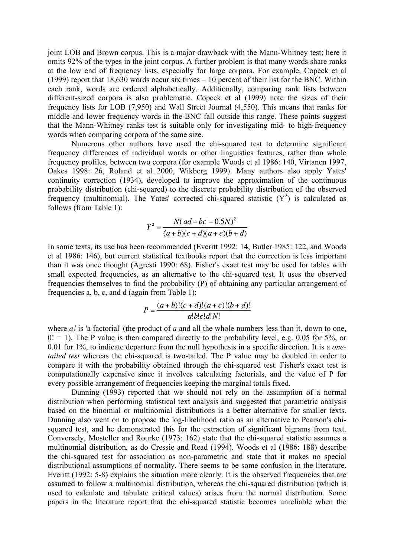joint LOB and Brown corpus. This is a major drawback with the Mann-Whitney test; here it omits 92% of the types in the joint corpus. A further problem is that many words share ranks at the low end of frequency lists, especially for large corpora. For example, Copeck et al (1999) report that 18,630 words occur six times – 10 percent of their list for the BNC. Within each rank, words are ordered alphabetically. Additionally, comparing rank lists between different-sized corpora is also problematic. Copeck et al (1999) note the sizes of their frequency lists for LOB (7,950) and Wall Street Journal (4,550). This means that ranks for middle and lower frequency words in the BNC fall outside this range. These points suggest that the Mann-Whitney ranks test is suitable only for investigating mid- to high-frequency words when comparing corpora of the same size.

Numerous other authors have used the chi-squared test to determine significant frequency differences of individual words or other linguistics features, rather than whole frequency profiles, between two corpora (for example Woods et al 1986: 140, Virtanen 1997, Oakes 1998: 26, Roland et al 2000, Wikberg 1999). Many authors also apply Yates' continuity correction (1934), developed to improve the approximation of the continuous probability distribution (chi-squared) to the discrete probability distribution of the observed frequency (multinomial). The Yates' corrected chi-squared statistic  $(Y^2)$  is calculated as follows (from Table 1):

$$
Y^{2} = \frac{N(|ad - bc| - 0.5N)^{2}}{(a + b)(c + d)(a + c)(b + d)}
$$

In some texts, its use has been recommended (Everitt 1992: 14, Butler 1985: 122, and Woods et al 1986: 146), but current statistical textbooks report that the correction is less important than it was once thought (Agresti 1990: 68). Fisher's exact test may be used for tables with small expected frequencies, as an alternative to the chi-squared test. It uses the observed frequencies themselves to find the probability (P) of obtaining any particular arrangement of frequencies a, b, c, and d (again from Table 1):

$$
P = \frac{(a+b)!(c+d)!(a+c)!(b+d)!}{a!b!c!d!N!}
$$

where *a!* is 'a factorial' (the product of *a* and all the whole numbers less than it, down to one,  $0! = 1$ ). The P value is then compared directly to the probability level, e.g. 0.05 for 5%, or 0.01 for 1%, to indicate departure from the null hypothesis in a specific direction. It is a *onetailed test* whereas the chi-squared is two-tailed. The P value may be doubled in order to compare it with the probability obtained through the chi-squared test. Fisher's exact test is computationally expensive since it involves calculating factorials, and the value of P for every possible arrangement of frequencies keeping the marginal totals fixed.

Dunning (1993) reported that we should not rely on the assumption of a normal distribution when performing statistical text analysis and suggested that parametric analysis based on the binomial or multinomial distributions is a better alternative for smaller texts. Dunning also went on to propose the log-likelihood ratio as an alternative to Pearson's chisquared test, and he demonstrated this for the extraction of significant bigrams from text. Conversely, Mosteller and Rourke (1973: 162) state that the chi-squared statistic assumes a multinomial distribution, as do Cressie and Read (1994). Woods et al (1986: 188) describe the chi-squared test for association as non-parametric and state that it makes no special distributional assumptions of normality. There seems to be some confusion in the literature. Everitt (1992: 5-8) explains the situation more clearly. It is the observed frequencies that are assumed to follow a multinomial distribution, whereas the chi-squared distribution (which is used to calculate and tabulate critical values) arises from the normal distribution. Some papers in the literature report that the chi-squared statistic becomes unreliable when the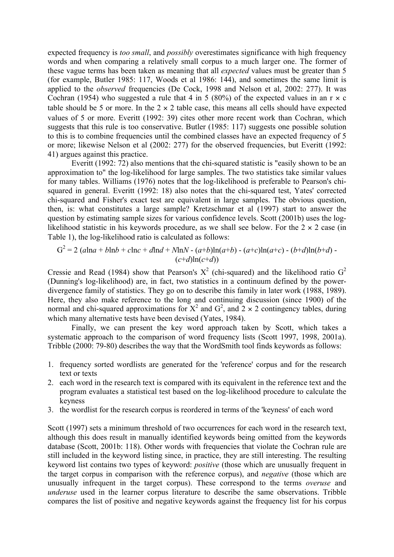expected frequency is *too small*, and *possibly* overestimates significance with high frequency words and when comparing a relatively small corpus to a much larger one. The former of these vague terms has been taken as meaning that all *expected* values must be greater than 5 (for example, Butler 1985: 117, Woods et al 1986: 144), and sometimes the same limit is applied to the *observed* frequencies (De Cock, 1998 and Nelson et al, 2002: 277). It was Cochran (1954) who suggested a rule that 4 in 5 (80%) of the expected values in an  $r \times c$ table should be 5 or more. In the  $2 \times 2$  table case, this means all cells should have expected values of 5 or more. Everitt (1992: 39) cites other more recent work than Cochran, which suggests that this rule is too conservative. Butler (1985: 117) suggests one possible solution to this is to combine frequencies until the combined classes have an expected frequency of 5 or more; likewise Nelson et al (2002: 277) for the observed frequencies, but Everitt (1992: 41) argues against this practice.

Everitt (1992: 72) also mentions that the chi-squared statistic is "easily shown to be an approximation to" the log-likelihood for large samples. The two statistics take similar values for many tables. Williams (1976) notes that the log-likelihood is preferable to Pearson's chisquared in general. Everitt (1992: 18) also notes that the chi-squared test, Yates' corrected chi-squared and Fisher's exact test are equivalent in large samples. The obvious question, then, is: what constitutes a large sample? Kretzschmar et al (1997) start to answer the question by estimating sample sizes for various confidence levels. Scott (2001b) uses the loglikelihood statistic in his keywords procedure, as we shall see below. For the  $2 \times 2$  case (in Table 1), the log-likelihood ratio is calculated as follows:

$$
G^{2} = 2 (a \ln a + b \ln b + c \ln c + d \ln d + N \ln N - (a+b) \ln(a+b) - (a+c) \ln(a+c) - (b+d) \ln(b+d) - (c+d) \ln(c+d))
$$

Cressie and Read (1984) show that Pearson's  $X^2$  (chi-squared) and the likelihood ratio  $G^2$ (Dunning's log-likelihood) are, in fact, two statistics in a continuum defined by the powerdivergence family of statistics. They go on to describe this family in later work (1988, 1989). Here, they also make reference to the long and continuing discussion (since 1900) of the normal and chi-squared approximations for  $X^2$  and  $G^2$ , and  $2 \times 2$  contingency tables, during which many alternative tests have been devised (Yates, 1984).

Finally, we can present the key word approach taken by Scott, which takes a systematic approach to the comparison of word frequency lists (Scott 1997, 1998, 2001a). Tribble (2000: 79-80) describes the way that the WordSmith tool finds keywords as follows:

- 1. frequency sorted wordlists are generated for the 'reference' corpus and for the research text or texts
- 2. each word in the research text is compared with its equivalent in the reference text and the program evaluates a statistical test based on the log-likelihood procedure to calculate the keyness
- 3. the wordlist for the research corpus is reordered in terms of the 'keyness' of each word

Scott (1997) sets a minimum threshold of two occurrences for each word in the research text, although this does result in manually identified keywords being omitted from the keywords database (Scott, 2001b: 118). Other words with frequencies that violate the Cochran rule are still included in the keyword listing since, in practice, they are still interesting. The resulting keyword list contains two types of keyword: *positive* (those which are unusually frequent in the target corpus in comparison with the reference corpus), and *negative* (those which are unusually infrequent in the target corpus). These correspond to the terms *overuse* and *underuse* used in the learner corpus literature to describe the same observations. Tribble compares the list of positive and negative keywords against the frequency list for his corpus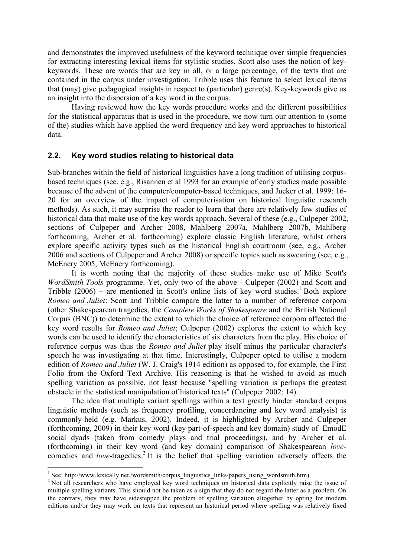and demonstrates the improved usefulness of the keyword technique over simple frequencies for extracting interesting lexical items for stylistic studies. Scott also uses the notion of keykeywords. These are words that are key in all, or a large percentage, of the texts that are contained in the corpus under investigation. Tribble uses this feature to select lexical items that (may) give pedagogical insights in respect to (particular) genre(s). Key-keywords give us an insight into the dispersion of a key word in the corpus.

Having reviewed how the key words procedure works and the different possibilities for the statistical apparatus that is used in the procedure, we now turn our attention to (some of the) studies which have applied the word frequency and key word approaches to historical data.

#### **2.2. Key word studies relating to historical data**

Sub-branches within the field of historical linguistics have a long tradition of utilising corpusbased techniques (see, e.g., Risannen et al 1993 for an example of early studies made possible because of the advent of the computer/computer-based techniques, and Jucker et al. 1999: 16- 20 for an overview of the impact of computerisation on historical linguistic research methods). As such, it may surprise the reader to learn that there are relatively few studies of historical data that make use of the key words approach. Several of these (e.g., Culpeper 2002, sections of Culpeper and Archer 2008, Mahlberg 2007a, Mahlberg 2007b, Mahlberg forthcoming, Archer et al. forthcoming) explore classic English literature, whilst others explore specific activity types such as the historical English courtroom (see, e.g., Archer 2006 and sections of Culpeper and Archer 2008) or specific topics such as swearing (see, e.g., McEnery 2005, McEnery forthcoming).

It is worth noting that the majority of these studies make use of Mike Scott's *WordSmith Tools* programme. Yet, only two of the above - Culpeper (2002) and Scott and Tribble  $(2006)$  – are mentioned in Scott's online lists of key word studies.<sup>1</sup> Both explore *Romeo and Juliet*: Scott and Tribble compare the latter to a number of reference corpora (other Shakespearean tragedies, the *Complete Works of Shakespeare* and the British National Corpus (BNC)) to determine the extent to which the choice of reference corpora affected the key word results for *Romeo and Juliet*; Culpeper (2002) explores the extent to which key words can be used to identify the characteristics of six characters from the play. His choice of reference corpus was thus the *Romeo and Juliet* play itself minus the particular character's speech he was investigating at that time. Interestingly, Culpeper opted to utilise a modern edition of *Romeo and Juliet* (W. J. Craig's 1914 edition) as opposed to, for example, the First Folio from the Oxford Text Archive. His reasoning is that he wished to avoid as much spelling variation as possible, not least because "spelling variation is perhaps the greatest obstacle in the statistical manipulation of historical texts" (Culpeper 2002: 14).

The idea that multiple variant spellings within a text greatly hinder standard corpus linguistic methods (such as frequency profiling, concordancing and key word analysis) is commonly-held (e.g. Markus, 2002). Indeed, it is highlighted by Archer and Culpeper (forthcoming, 2009) in their key word (key part-of-speech and key domain) study of EmodE social dyads (taken from comedy plays and trial proceedings), and by Archer et al. (forthcoming) in their key word (and key domain) comparison of Shakespearean *love*comedies and *love-tragedies*.<sup>2</sup> It is the belief that spelling variation adversely affects the

 $\frac{1}{1}$ <sup>1</sup> See: http://www.lexically.net./wordsmith/corpus\_linguistics\_links/papers\_using\_wordsmith.htm).

 $\frac{1}{2}$  Not all researchers who have employed key word techniques on historical data explicitly raise the issue of multiple spelling variants. This should not be taken as a sign that they do not regard the latter as a problem. On the contrary, they may have sidestepped the problem of spelling variation altogether by opting for modern editions and/or they may work on texts that represent an historical period where spelling was relatively fixed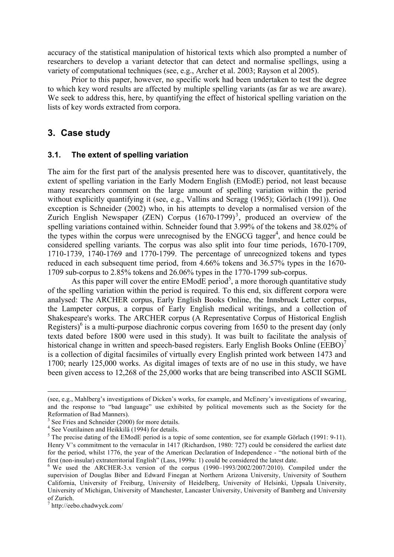accuracy of the statistical manipulation of historical texts which also prompted a number of researchers to develop a variant detector that can detect and normalise spellings, using a variety of computational techniques (see, e.g., Archer et al. 2003; Rayson et al 2005).

Prior to this paper, however, no specific work had been undertaken to test the degree to which key word results are affected by multiple spelling variants (as far as we are aware). We seek to address this, here, by quantifying the effect of historical spelling variation on the lists of key words extracted from corpora.

## **3. Case study**

#### **3.1. The extent of spelling variation**

The aim for the first part of the analysis presented here was to discover, quantitatively, the extent of spelling variation in the Early Modern English (EModE) period, not least because many researchers comment on the large amount of spelling variation within the period without explicitly quantifying it (see, e.g., Vallins and Scragg (1965); Görlach (1991)). One exception is Schneider (2002) who, in his attempts to develop a normalised version of the Zurich English Newspaper (ZEN) Corpus  $(1670-1799)^3$ , produced an overview of the spelling variations contained within. Schneider found that 3.99% of the tokens and 38.02% of the types within the corpus were unrecognised by the  $ENGCG$  tagger<sup>4</sup>, and hence could be considered spelling variants. The corpus was also split into four time periods, 1670-1709, 1710-1739, 1740-1769 and 1770-1799. The percentage of unrecognized tokens and types reduced in each subsequent time period, from 4.66% tokens and 36.57% types in the 1670- 1709 sub-corpus to 2.85% tokens and 26.06% types in the 1770-1799 sub-corpus.

As this paper will cover the entire  $\text{EModE period}^5$ , a more thorough quantitative study of the spelling variation within the period is required. To this end, six different corpora were analysed: The ARCHER corpus, Early English Books Online, the Innsbruck Letter corpus, the Lampeter corpus, a corpus of Early English medical writings, and a collection of Shakespeare's works. The ARCHER corpus (A Representative Corpus of Historical English Registers)<sup>6</sup> is a multi-purpose diachronic corpus covering from 1650 to the present day (only texts dated before 1800 were used in this study). It was built to facilitate the analysis of historical change in written and speech-based registers. Early English Books Online (EEBO)<sup>7</sup> is a collection of digital facsimiles of virtually every English printed work between 1473 and 1700; nearly 125,000 works. As digital images of texts are of no use in this study, we have been given access to 12,268 of the 25,000 works that are being transcribed into ASCII SGML

 <sup>(</sup>see, e.g., Mahlberg's investigations of Dicken's works, for example, and McEnery's investigations of swearing, and the response to "bad language" use exhibited by political movements such as the Society for the Reformation of Bad Manners).

 $3$  See Fries and Schneider (2000) for more details.

<sup>&</sup>lt;sup>4</sup> See Voutilainen and Heikkilä (1994) for details.

 $5$  The precise dating of the EModE period is a topic of some contention, see for example Görlach (1991: 9-11). Henry V's commitment to the vernacular in 1417 (Richardson, 1980: 727) could be considered the earliest date for the period, whilst 1776, the year of the American Declaration of Independence - "the notional birth of the first (non-insular) extraterritorial English" (Lass, 1999a: 1) could be considered the latest date.

<sup>&</sup>lt;sup>6</sup> We used the ARCHER-3.x version of the corpus (1990–1993/2002/2007/2010). Compiled under the supervision of Douglas Biber and Edward Finegan at Northern Arizona University, University of Southern California, University of Freiburg, University of Heidelberg, University of Helsinki, Uppsala University, University of Michigan, University of Manchester, Lancaster University, University of Bamberg and University of Zurich.

 $7$  http://eebo.chadwyck.com/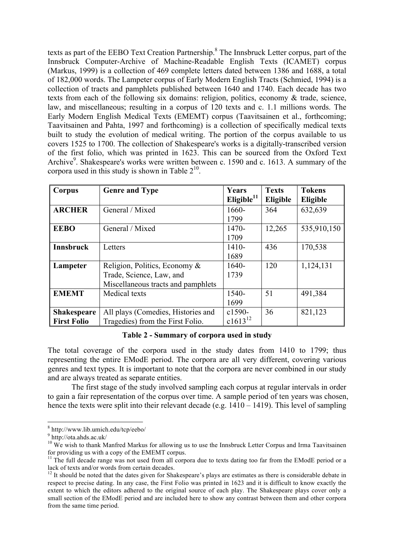texts as part of the EEBO Text Creation Partnership.<sup>8</sup> The Innsbruck Letter corpus, part of the Innsbruck Computer-Archive of Machine-Readable English Texts (ICAMET) corpus (Markus, 1999) is a collection of 469 complete letters dated between 1386 and 1688, a total of 182,000 words. The Lampeter corpus of Early Modern English Tracts (Schmied, 1994) is a collection of tracts and pamphlets published between 1640 and 1740. Each decade has two texts from each of the following six domains: religion, politics, economy & trade, science, law, and miscellaneous; resulting in a corpus of 120 texts and c. 1.1 millions words. The Early Modern English Medical Texts (EMEMT) corpus (Taavitsainen et al., forthcoming; Taavitsainen and Pahta, 1997 and forthcoming) is a collection of specifically medical texts built to study the evolution of medical writing. The portion of the corpus available to us covers 1525 to 1700. The collection of Shakespeare's works is a digitally-transcribed version of the first folio, which was printed in 1623. This can be sourced from the Oxford Text Archive<sup>9</sup>. Shakespeare's works were written between c. 1590 and c. 1613. A summary of the corpora used in this study is shown in Table  $2^{10}$ .

| Corpus                                   | <b>Genre and Type</b>                                                                           | Years<br>Eligible $11$ | <b>Texts</b><br>Eligible | <b>Tokens</b><br>Eligible |
|------------------------------------------|-------------------------------------------------------------------------------------------------|------------------------|--------------------------|---------------------------|
| <b>ARCHER</b>                            | General / Mixed                                                                                 | 1660-<br>1799          | 364                      | 632,639                   |
| <b>EEBO</b>                              | General / Mixed                                                                                 | 1470-<br>1709          | 12,265                   | 535,910,150               |
| <b>Innsbruck</b>                         | Letters                                                                                         | 1410-<br>1689          | 436                      | 170,538                   |
| Lampeter                                 | Religion, Politics, Economy &<br>Trade, Science, Law, and<br>Miscellaneous tracts and pamphlets | 1640-<br>1739          | 120                      | 1,124,131                 |
| <b>EMEMT</b>                             | Medical texts                                                                                   | 1540-<br>1699          | 51                       | 491,384                   |
| <b>Shakespeare</b><br><b>First Folio</b> | All plays (Comedies, Histories and<br>Tragedies) from the First Folio.                          | c1590-<br>$c1613^{12}$ | 36                       | 821,123                   |

**Table 2 - Summary of corpora used in study**

The total coverage of the corpora used in the study dates from 1410 to 1799; thus representing the entire EModE period. The corpora are all very different, covering various genres and text types. It is important to note that the corpora are never combined in our study and are always treated as separate entities.

The first stage of the study involved sampling each corpus at regular intervals in order to gain a fair representation of the corpus over time. A sample period of ten years was chosen, hence the texts were split into their relevant decade (e.g.  $1410 - 1419$ ). This level of sampling

 <sup>8</sup> http://www.lib.umich.edu/tcp/eebo/

<sup>&</sup>lt;sup>9</sup> http://ota.ahds.ac.uk/

<sup>&</sup>lt;sup>10</sup> We wish to thank Manfred Markus for allowing us to use the Innsbruck Letter Corpus and Irma Taavitsainen for providing us with a copy of the EMEMT corpus.

 $\frac{11}{11}$  The full decade range was not used from all corpora due to texts dating too far from the EModE period or a lack of texts and/or words from certain decades.

 $12$  It should be noted that the dates given for Shakespeare's plays are estimates as there is considerable debate in respect to precise dating. In any case, the First Folio was printed in 1623 and it is difficult to know exactly the extent to which the editors adhered to the original source of each play. The Shakespeare plays cover only a small section of the EModE period and are included here to show any contrast between them and other corpora from the same time period.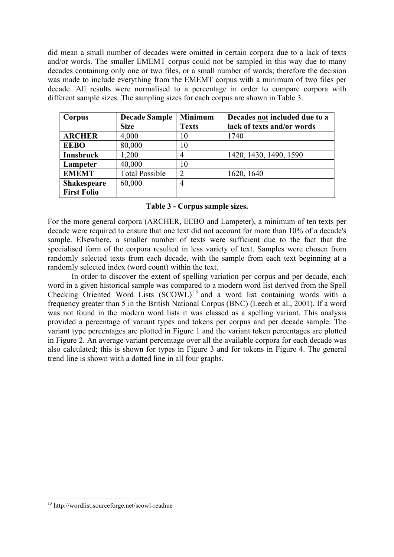did mean a small number of decades were omitted in certain corpora due to a lack of texts and/or words. The smaller EMEMT corpus could not be sampled in this way due to many decades containing only one or two files, or a small number of words; therefore the decision was made to include everything from the EMEMT corpus with a minimum of two files per decade. All results were normalised to a percentage in order to compare corpora with different sample sizes. The sampling sizes for each corpus are shown in Table 3.

| Corpus             | <b>Decade Sample</b>  | <b>Minimum</b> | Decades not included due to a |
|--------------------|-----------------------|----------------|-------------------------------|
|                    | <b>Size</b>           | <b>Texts</b>   | lack of texts and/or words    |
| <b>ARCHER</b>      | 4,000                 | 10             | 1740                          |
| <b>EEBO</b>        | 80,000                | 10             |                               |
| <b>Innsbruck</b>   | 1,200                 |                | 1420, 1430, 1490, 1590        |
| Lampeter           | 40,000                | 10             |                               |
| <b>EMEMT</b>       | <b>Total Possible</b> | 2              | 1620, 1640                    |
| <b>Shakespeare</b> | 60,000                | 4              |                               |
| <b>First Folio</b> |                       |                |                               |

#### **Table 3 - Corpus sample sizes.**

For the more general corpora (ARCHER, EEBO and Lampeter), a minimum of ten texts per decade were required to ensure that one text did not account for more than 10% of a decade's sample. Elsewhere, a smaller number of texts were sufficient due to the fact that the specialised form of the corpora resulted in less variety of text. Samples were chosen from randomly selected texts from each decade, with the sample from each text beginning at a randomly selected index (word count) within the text.

In order to discover the extent of spelling variation per corpus and per decade, each word in a given historical sample was compared to a modern word list derived from the Spell Checking Oriented Word Lists (SCOWL) 13 and a word list containing words with a frequency greater than 5 in the British National Corpus (BNC) (Leech et al., 2001). If a word was not found in the modern word lists it was classed as a spelling variant. This analysis provided a percentage of variant types and tokens per corpus and per decade sample. The variant type percentages are plotted in Figure 1 and the variant token percentages are plotted in Figure 2. An average variant percentage over all the available corpora for each decade was also calculated; this is shown for types in Figure 3 and for tokens in Figure 4. The general trend line is shown with a dotted line in all four graphs.

 <sup>13</sup> http://wordlist.sourceforge.net/scowl-readme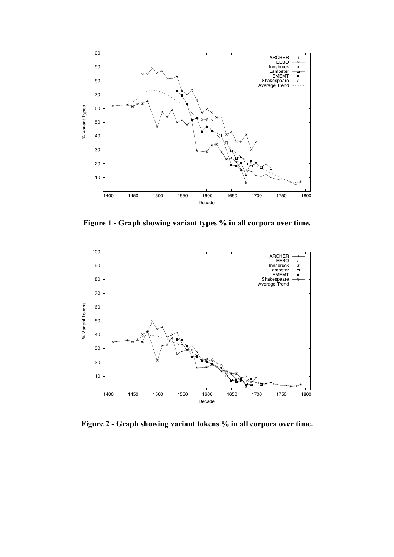

**Figure 1 - Graph showing variant types % in all corpora over time.**



**Figure 2 - Graph showing variant tokens % in all corpora over time.**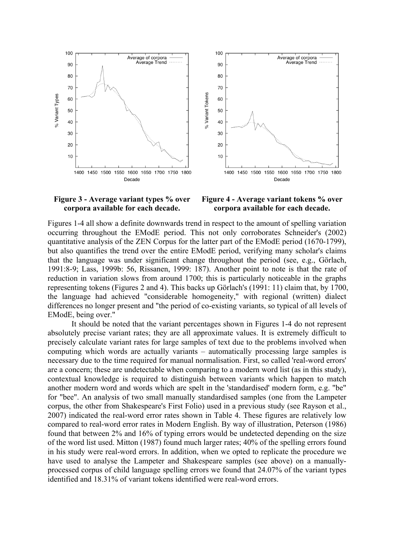

#### **Figure 3 - Average variant types % over corpora available for each decade.**

**Figure 4 - Average variant tokens % over corpora available for each decade.**

Figures 1-4 all show a definite downwards trend in respect to the amount of spelling variation occurring throughout the EModE period. This not only corroborates Schneider's (2002) quantitative analysis of the ZEN Corpus for the latter part of the EModE period (1670-1799), but also quantifies the trend over the entire EModE period, verifying many scholar's claims that the language was under significant change throughout the period (see, e.g., Görlach, 1991:8-9; Lass, 1999b: 56, Rissanen, 1999: 187). Another point to note is that the rate of reduction in variation slows from around 1700; this is particularly noticeable in the graphs representing tokens (Figures 2 and 4). This backs up Görlach's (1991: 11) claim that, by 1700, the language had achieved "considerable homogeneity," with regional (written) dialect differences no longer present and "the period of co-existing variants, so typical of all levels of EModE, being over."

It should be noted that the variant percentages shown in Figures 1-4 do not represent absolutely precise variant rates; they are all approximate values. It is extremely difficult to precisely calculate variant rates for large samples of text due to the problems involved when computing which words are actually variants – automatically processing large samples is necessary due to the time required for manual normalisation. First, so called 'real-word errors' are a concern; these are undetectable when comparing to a modern word list (as in this study), contextual knowledge is required to distinguish between variants which happen to match another modern word and words which are spelt in the 'standardised' modern form, e.g. "be" for "bee". An analysis of two small manually standardised samples (one from the Lampeter corpus, the other from Shakespeare's First Folio) used in a previous study (see Rayson et al., 2007) indicated the real-word error rates shown in Table 4. These figures are relatively low compared to real-word error rates in Modern English. By way of illustration, Peterson (1986) found that between 2% and 16% of typing errors would be undetected depending on the size of the word list used. Mitton (1987) found much larger rates; 40% of the spelling errors found in his study were real-word errors. In addition, when we opted to replicate the procedure we have used to analyse the Lampeter and Shakespeare samples (see above) on a manuallyprocessed corpus of child language spelling errors we found that 24.07% of the variant types identified and 18.31% of variant tokens identified were real-word errors.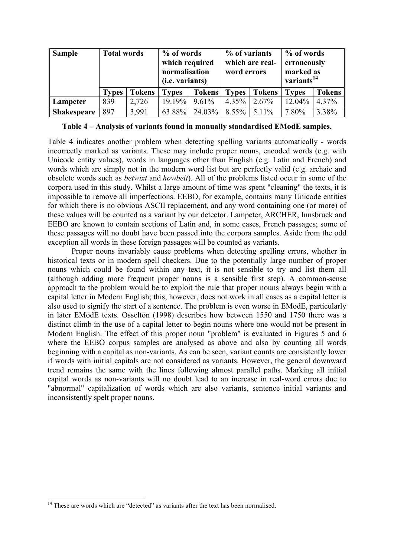| <b>Sample</b>      | <b>Total words</b> |               |              | % of words<br>which required<br>normalisation<br>( <i>i.e.</i> variants) |              | % of variants<br>which are real-<br>word errors |              | % of words<br>erroneously<br>marked as<br>variants <sup>14</sup> |  |
|--------------------|--------------------|---------------|--------------|--------------------------------------------------------------------------|--------------|-------------------------------------------------|--------------|------------------------------------------------------------------|--|
|                    | <b>Types</b>       | <b>Tokens</b> | <b>Types</b> | <b>Tokens</b>                                                            | <b>Types</b> | <b>Tokens</b>                                   | <b>Types</b> | <b>Tokens</b>                                                    |  |
| Lampeter           | 839                | 2,726         | 19.19%       | 9.61%                                                                    | $4.35\%$     | 2.67%                                           | 12.04%       | $4.37\%$                                                         |  |
| <b>Shakespeare</b> | 897                | 3,991         | 63.88%       | 24.03%                                                                   | $8.55\%$     | $5.11\%$                                        | 7.80%        | 3.38%                                                            |  |

|  |  | Table 4 – Analysis of variants found in manually standardised EModE samples. |  |
|--|--|------------------------------------------------------------------------------|--|
|  |  |                                                                              |  |

Table 4 indicates another problem when detecting spelling variants automatically - words incorrectly marked as variants. These may include proper nouns, encoded words (e.g. with Unicode entity values), words in languages other than English (e.g. Latin and French) and words which are simply not in the modern word list but are perfectly valid (e.g. archaic and obsolete words such as *betwixt* and *howbeit*). All of the problems listed occur in some of the corpora used in this study. Whilst a large amount of time was spent "cleaning" the texts, it is impossible to remove all imperfections. EEBO, for example, contains many Unicode entities for which there is no obvious ASCII replacement, and any word containing one (or more) of these values will be counted as a variant by our detector. Lampeter, ARCHER, Innsbruck and EEBO are known to contain sections of Latin and, in some cases, French passages; some of these passages will no doubt have been passed into the corpora samples. Aside from the odd exception all words in these foreign passages will be counted as variants.

Proper nouns invariably cause problems when detecting spelling errors, whether in historical texts or in modern spell checkers. Due to the potentially large number of proper nouns which could be found within any text, it is not sensible to try and list them all (although adding more frequent proper nouns is a sensible first step). A common-sense approach to the problem would be to exploit the rule that proper nouns always begin with a capital letter in Modern English; this, however, does not work in all cases as a capital letter is also used to signify the start of a sentence. The problem is even worse in EModE, particularly in later EModE texts. Osselton (1998) describes how between 1550 and 1750 there was a distinct climb in the use of a capital letter to begin nouns where one would not be present in Modern English. The effect of this proper noun "problem" is evaluated in Figures 5 and 6 where the EEBO corpus samples are analysed as above and also by counting all words beginning with a capital as non-variants. As can be seen, variant counts are consistently lower if words with initial capitals are not considered as variants. However, the general downward trend remains the same with the lines following almost parallel paths. Marking all initial capital words as non-variants will no doubt lead to an increase in real-word errors due to "abnormal" capitalization of words which are also variants, sentence initial variants and inconsistently spelt proper nouns.

<sup>&</sup>lt;sup>14</sup> These are words which are "detected" as variants after the text has been normalised.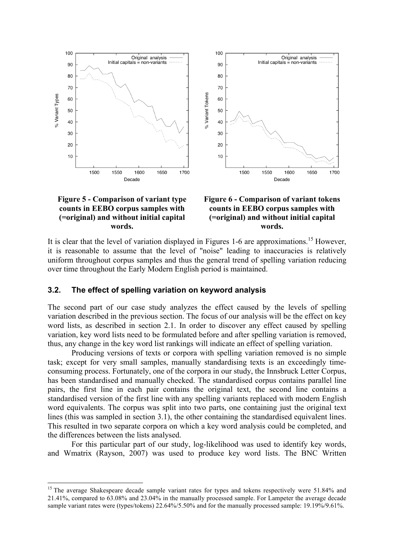

#### **Figure 5 - Comparison of variant type counts in EEBO corpus samples with (=original) and without initial capital words.**



It is clear that the level of variation displayed in Figures 1-6 are approximations.<sup>15</sup> However, it is reasonable to assume that the level of "noise" leading to inaccuracies is relatively uniform throughout corpus samples and thus the general trend of spelling variation reducing over time throughout the Early Modern English period is maintained.

#### **3.2. The effect of spelling variation on keyword analysis**

The second part of our case study analyzes the effect caused by the levels of spelling variation described in the previous section. The focus of our analysis will be the effect on key word lists, as described in section 2.1. In order to discover any effect caused by spelling variation, key word lists need to be formulated before and after spelling variation is removed, thus, any change in the key word list rankings will indicate an effect of spelling variation.

Producing versions of texts or corpora with spelling variation removed is no simple task; except for very small samples, manually standardising texts is an exceedingly timeconsuming process. Fortunately, one of the corpora in our study, the Innsbruck Letter Corpus, has been standardised and manually checked. The standardised corpus contains parallel line pairs, the first line in each pair contains the original text, the second line contains a standardised version of the first line with any spelling variants replaced with modern English word equivalents. The corpus was split into two parts, one containing just the original text lines (this was sampled in section 3.1), the other containing the standardised equivalent lines. This resulted in two separate corpora on which a key word analysis could be completed, and the differences between the lists analysed.

For this particular part of our study, log-likelihood was used to identify key words, and Wmatrix (Rayson, 2007) was used to produce key word lists. The BNC Written

<sup>&</sup>lt;sup>15</sup> The average Shakespeare decade sample variant rates for types and tokens respectively were 51.84% and 21.41%, compared to 63.08% and 23.04% in the manually processed sample. For Lampeter the average decade sample variant rates were (types/tokens) 22.64%/5.50% and for the manually processed sample: 19.19%/9.61%.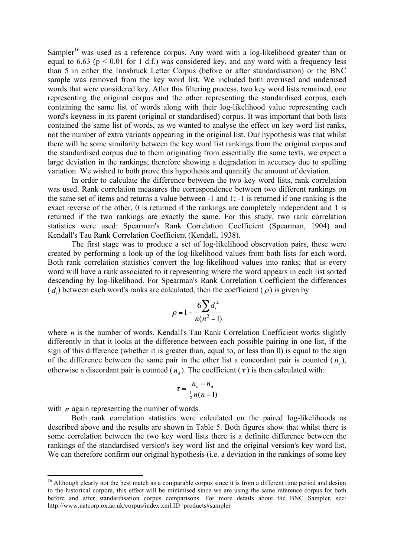Sampler<sup>16</sup> was used as a reference corpus. Any word with a log-likelihood greater than or equal to 6.63 ( $p < 0.01$  for 1 d.f.) was considered key, and any word with a frequency less than 5 in either the Innsbruck Letter Corpus (before or after standardisation) or the BNC sample was removed from the key word list. We included both overused and underused words that were considered key. After this filtering process, two key word lists remained, one representing the original corpus and the other representing the standardised corpus, each containing the same list of words along with their log-likelihood value representing each word's keyness in its parent (original or standardised) corpus. It was important that both lists contained the same list of words, as we wanted to analyse the effect on key word list ranks, not the number of extra variants appearing in the original list. Our hypothesis was that whilst there will be some similarity between the key word list rankings from the original corpus and the standardised corpus due to them originating from essentially the same texts, we expect a large deviation in the rankings; therefore showing a degradation in accuracy due to spelling variation. We wished to both prove this hypothesis and quantify the amount of deviation.

In order to calculate the difference between the two key word lists, rank correlation was used. Rank correlation measures the correspondence between two different rankings on the same set of items and returns a value between -1 and 1; -1 is returned if one ranking is the exact reverse of the other, 0 is returned if the rankings are completely independent and 1 is returned if the two rankings are exactly the same. For this study, two rank correlation statistics were used: Spearman's Rank Correlation Coefficient (Spearman, 1904) and Kendall's Tau Rank Correlation Coefficient (Kendall, 1938).

The first stage was to produce a set of log-likelihood observation pairs, these were created by performing a look-up of the log-likelihood values from both lists for each word. Both rank correlation statistics convert the log-likelihood values into ranks; that is every word will have a rank associated to it representing where the word appears in each list sorted descending by log-likelihood. For Spearman's Rank Correlation Coefficient the differences  $(d)$  between each word's ranks are calculated, then the coefficient ( $\rho$ ) is given by:

$$
\rho = 1 - \frac{6\sum d_i^2}{n(n^2 - 1)}
$$

where  $n$  is the number of words. Kendall's Tau Rank Correlation Coefficient works slightly differently in that it looks at the difference between each possible pairing in one list, if the sign of this difference (whether it is greater than, equal to, or less than 0) is equal to the sign of the difference between the same pair in the other list a concordant pair is counted  $(n_a)$ , otherwise a discordant pair is counted  $(n_a)$ . The coefficient  $(\tau)$  is then calculated with:

$$
\tau = \frac{n_c - n_d}{\frac{1}{2}n(n-1)}
$$

with  $n$  again representing the number of words.

Both rank correlation statistics were calculated on the paired log-likelihoods as described above and the results are shown in Table 5. Both figures show that whilst there is some correlation between the two key word lists there is a definite difference between the rankings of the standardised version's key word list and the original version's key word list. We can therefore confirm our original hypothesis (i.e. a deviation in the rankings of some key

<sup>&</sup>lt;sup>16</sup> Although clearly not the best match as a comparable corpus since it is from a different time period and design to the historical corpora, this effect will be minimised since we are using the same reference corpus for both before and after standardisation corpus comparisons. For more details about the BNC Sampler, see: http://www.natcorp.ox.ac.uk/corpus/index.xml.ID=products#sampler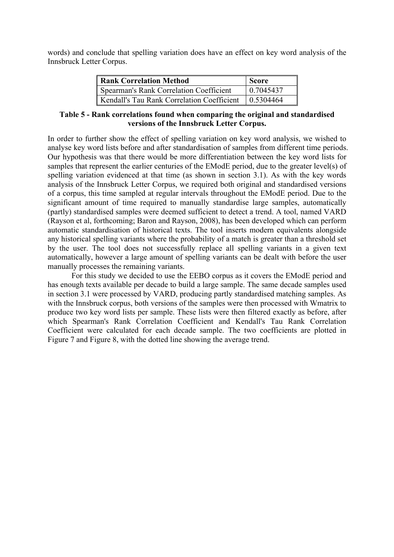words) and conclude that spelling variation does have an effect on key word analysis of the Innsbruck Letter Corpus.

| <b>Rank Correlation Method</b>                         | <b>Score</b> |
|--------------------------------------------------------|--------------|
| <b>Spearman's Rank Correlation Coefficient</b>         | 0.7045437    |
| Kendall's Tau Rank Correlation Coefficient   0.5304464 |              |

#### **Table 5 - Rank correlations found when comparing the original and standardised versions of the Innsbruck Letter Corpus.**

In order to further show the effect of spelling variation on key word analysis, we wished to analyse key word lists before and after standardisation of samples from different time periods. Our hypothesis was that there would be more differentiation between the key word lists for samples that represent the earlier centuries of the EModE period, due to the greater level(s) of spelling variation evidenced at that time (as shown in section 3.1). As with the key words analysis of the Innsbruck Letter Corpus, we required both original and standardised versions of a corpus, this time sampled at regular intervals throughout the EModE period. Due to the significant amount of time required to manually standardise large samples, automatically (partly) standardised samples were deemed sufficient to detect a trend. A tool, named VARD (Rayson et al, forthcoming; Baron and Rayson, 2008), has been developed which can perform automatic standardisation of historical texts. The tool inserts modern equivalents alongside any historical spelling variants where the probability of a match is greater than a threshold set by the user. The tool does not successfully replace all spelling variants in a given text automatically, however a large amount of spelling variants can be dealt with before the user manually processes the remaining variants.

For this study we decided to use the EEBO corpus as it covers the EModE period and has enough texts available per decade to build a large sample. The same decade samples used in section 3.1 were processed by VARD, producing partly standardised matching samples. As with the Innsbruck corpus, both versions of the samples were then processed with Wmatrix to produce two key word lists per sample. These lists were then filtered exactly as before, after which Spearman's Rank Correlation Coefficient and Kendall's Tau Rank Correlation Coefficient were calculated for each decade sample. The two coefficients are plotted in Figure 7 and Figure 8, with the dotted line showing the average trend.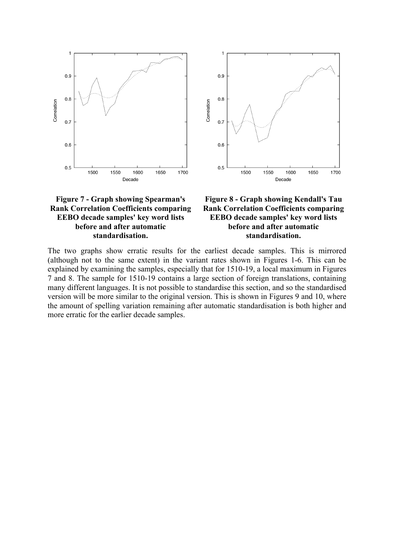

#### **Figure 7 - Graph showing Spearman's Rank Correlation Coefficients comparing EEBO decade samples' key word lists before and after automatic standardisation.**



The two graphs show erratic results for the earliest decade samples. This is mirrored (although not to the same extent) in the variant rates shown in Figures 1-6. This can be explained by examining the samples, especially that for 1510-19, a local maximum in Figures 7 and 8. The sample for 1510-19 contains a large section of foreign translations, containing many different languages. It is not possible to standardise this section, and so the standardised version will be more similar to the original version. This is shown in Figures 9 and 10, where the amount of spelling variation remaining after automatic standardisation is both higher and more erratic for the earlier decade samples.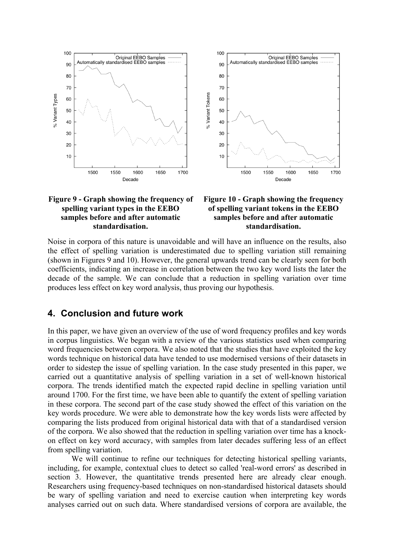

#### **Figure 9 - Graph showing the frequency of spelling variant types in the EEBO samples before and after automatic standardisation.**

#### **Figure 10 - Graph showing the frequency of spelling variant tokens in the EEBO samples before and after automatic standardisation.**

Noise in corpora of this nature is unavoidable and will have an influence on the results, also the effect of spelling variation is underestimated due to spelling variation still remaining (shown in Figures 9 and 10). However, the general upwards trend can be clearly seen for both coefficients, indicating an increase in correlation between the two key word lists the later the decade of the sample. We can conclude that a reduction in spelling variation over time produces less effect on key word analysis, thus proving our hypothesis.

## **4. Conclusion and future work**

In this paper, we have given an overview of the use of word frequency profiles and key words in corpus linguistics. We began with a review of the various statistics used when comparing word frequencies between corpora. We also noted that the studies that have exploited the key words technique on historical data have tended to use modernised versions of their datasets in order to sidestep the issue of spelling variation. In the case study presented in this paper, we carried out a quantitative analysis of spelling variation in a set of well-known historical corpora. The trends identified match the expected rapid decline in spelling variation until around 1700. For the first time, we have been able to quantify the extent of spelling variation in these corpora. The second part of the case study showed the effect of this variation on the key words procedure. We were able to demonstrate how the key words lists were affected by comparing the lists produced from original historical data with that of a standardised version of the corpora. We also showed that the reduction in spelling variation over time has a knockon effect on key word accuracy, with samples from later decades suffering less of an effect from spelling variation.

We will continue to refine our techniques for detecting historical spelling variants, including, for example, contextual clues to detect so called 'real-word errors' as described in section 3. However, the quantitative trends presented here are already clear enough. Researchers using frequency-based techniques on non-standardised historical datasets should be wary of spelling variation and need to exercise caution when interpreting key words analyses carried out on such data. Where standardised versions of corpora are available, the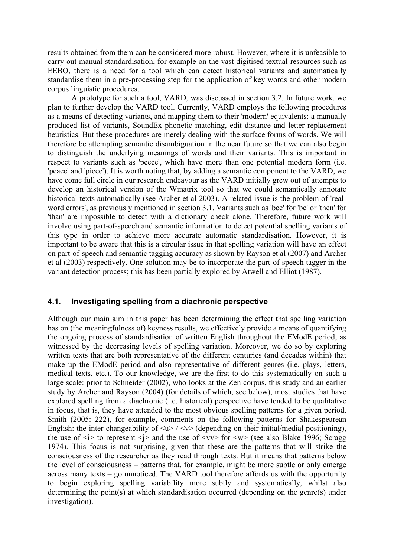results obtained from them can be considered more robust. However, where it is unfeasible to carry out manual standardisation, for example on the vast digitised textual resources such as EEBO, there is a need for a tool which can detect historical variants and automatically standardise them in a pre-processing step for the application of key words and other modern corpus linguistic procedures.

A prototype for such a tool, VARD, was discussed in section 3.2. In future work, we plan to further develop the VARD tool. Currently, VARD employs the following procedures as a means of detecting variants, and mapping them to their 'modern' equivalents: a manually produced list of variants, SoundEx phonetic matching, edit distance and letter replacement heuristics. But these procedures are merely dealing with the surface forms of words. We will therefore be attempting semantic disambiguation in the near future so that we can also begin to distinguish the underlying meanings of words and their variants. This is important in respect to variants such as 'peece', which have more than one potential modern form (i.e. 'peace' and 'piece'). It is worth noting that, by adding a semantic component to the VARD, we have come full circle in our research endeavour as the VARD initially grew out of attempts to develop an historical version of the Wmatrix tool so that we could semantically annotate historical texts automatically (see Archer et al 2003). A related issue is the problem of 'realword errors', as previously mentioned in section 3.1. Variants such as 'bee' for 'be' or 'then' for 'than' are impossible to detect with a dictionary check alone. Therefore, future work will involve using part-of-speech and semantic information to detect potential spelling variants of this type in order to achieve more accurate automatic standardisation. However, it is important to be aware that this is a circular issue in that spelling variation will have an effect on part-of-speech and semantic tagging accuracy as shown by Rayson et al (2007) and Archer et al (2003) respectively. One solution may be to incorporate the part-of-speech tagger in the variant detection process; this has been partially explored by Atwell and Elliot (1987).

#### **4.1. Investigating spelling from a diachronic perspective**

Although our main aim in this paper has been determining the effect that spelling variation has on (the meaningfulness of) keyness results, we effectively provide a means of quantifying the ongoing process of standardisation of written English throughout the EModE period, as witnessed by the decreasing levels of spelling variation. Moreover, we do so by exploring written texts that are both representative of the different centuries (and decades within) that make up the EModE period and also representative of different genres (i.e. plays, letters, medical texts, etc.). To our knowledge, we are the first to do this systematically on such a large scale: prior to Schneider (2002), who looks at the Zen corpus, this study and an earlier study by Archer and Rayson (2004) (for details of which, see below), most studies that have explored spelling from a diachronic (i.e. historical) perspective have tended to be qualitative in focus, that is, they have attended to the most obvious spelling patterns for a given period. Smith (2005: 222), for example, comments on the following patterns for Shakespearean English: the inter-changeability of  $\langle u \rangle / \langle v \rangle$  (depending on their initial/medial positioning), the use of  $\langle i \rangle$  to represent  $\langle i \rangle$  and the use of  $\langle v \rangle$  for  $\langle w \rangle$  (see also Blake 1996; Scragg 1974). This focus is not surprising, given that these are the patterns that will strike the consciousness of the researcher as they read through texts. But it means that patterns below the level of consciousness – patterns that, for example, might be more subtle or only emerge across many texts – go unnoticed. The VARD tool therefore affords us with the opportunity to begin exploring spelling variability more subtly and systematically, whilst also determining the point(s) at which standardisation occurred (depending on the genre(s) under investigation).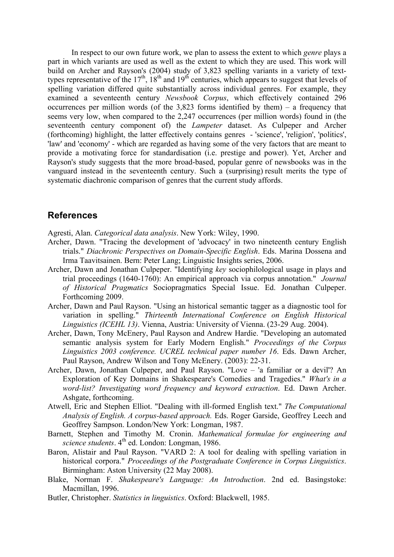In respect to our own future work, we plan to assess the extent to which *genre* plays a part in which variants are used as well as the extent to which they are used. This work will build on Archer and Rayson's (2004) study of 3,823 spelling variants in a variety of texttypes representative of the  $17<sup>th</sup>$ ,  $18<sup>th</sup>$  and  $19<sup>th</sup>$  centuries, which appears to suggest that levels of spelling variation differed quite substantially across individual genres. For example, they examined a seventeenth century *Newsbook Corpus*, which effectively contained 296 occurrences per million words (of the  $3.823$  forms identified by them) – a frequency that seems very low, when compared to the 2,247 occurrences (per million words) found in (the seventeenth century component of) the *Lampeter* dataset. As Culpeper and Archer (forthcoming) highlight, the latter effectively contains genres - 'science', 'religion', 'politics', 'law' and 'economy' - which are regarded as having some of the very factors that are meant to provide a motivating force for standardisation (i.e. prestige and power). Yet, Archer and Rayson's study suggests that the more broad-based, popular genre of newsbooks was in the vanguard instead in the seventeenth century. Such a (surprising) result merits the type of systematic diachronic comparison of genres that the current study affords.

### **References**

Agresti, Alan. *Categorical data analysis*. New York: Wiley, 1990.

- Archer, Dawn. "Tracing the development of 'advocacy' in two nineteenth century English trials." *Diachronic Perspectives on Domain-Specific English*. Eds. Marina Dossena and Irma Taavitsainen. Bern: Peter Lang; Linguistic Insights series, 2006.
- Archer, Dawn and Jonathan Culpeper. "Identifying *key* sociophilological usage in plays and trial proceedings (1640-1760): An empirical approach via corpus annotation." *Journal of Historical Pragmatics* Sociopragmatics Special Issue. Ed. Jonathan Culpeper. Forthcoming 2009.
- Archer, Dawn and Paul Rayson. "Using an historical semantic tagger as a diagnostic tool for variation in spelling." *Thirteenth International Conference on English Historical Linguistics (ICEHL 13)*. Vienna, Austria: University of Vienna. (23-29 Aug. 2004).
- Archer, Dawn, Tony McEnery, Paul Rayson and Andrew Hardie. "Developing an automated semantic analysis system for Early Modern English." *Proceedings of the Corpus Linguistics 2003 conference. UCREL technical paper number 16*. Eds. Dawn Archer, Paul Rayson, Andrew Wilson and Tony McEnery. (2003): 22-31.
- Archer, Dawn, Jonathan Culpeper, and Paul Rayson. "Love 'a familiar or a devil'? An Exploration of Key Domains in Shakespeare's Comedies and Tragedies." *What's in a word-list? Investigating word frequency and keyword extraction*. Ed. Dawn Archer. Ashgate, forthcoming.
- Atwell, Eric and Stephen Elliot. "Dealing with ill-formed English text." *The Computational Analysis of English. A corpus-based approach.* Eds. Roger Garside, Geoffrey Leech and Geoffrey Sampson. London/New York: Longman, 1987.
- Barnett, Stephen and Timothy M. Cronin. *Mathematical formulae for engineering and*  science students. 4<sup>th</sup> ed. London: Longman, 1986.
- Baron, Alistair and Paul Rayson. "VARD 2: A tool for dealing with spelling variation in historical corpora." *Proceedings of the Postgraduate Conference in Corpus Linguistics*. Birmingham: Aston University (22 May 2008).
- Blake, Norman F. *Shakespeare's Language: An Introduction*. 2nd ed. Basingstoke: Macmillan, 1996.
- Butler, Christopher. *Statistics in linguistics*. Oxford: Blackwell, 1985.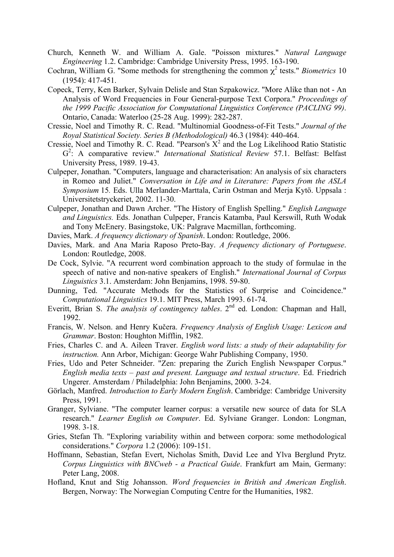- Church, Kenneth W. and William A. Gale. "Poisson mixtures." *Natural Language Engineering* 1.2. Cambridge: Cambridge University Press, 1995. 163-190.
- Cochran, William G. "Some methods for strengthening the common  $\chi^2$  tests." *Biometrics* 10 (1954): 417-451.
- Copeck, Terry, Ken Barker, Sylvain Delisle and Stan Szpakowicz. "More Alike than not An Analysis of Word Frequencies in Four General-purpose Text Corpora." *Proceedings of the 1999 Pacific Association for Computational Linguistics Conference (PACLING 99)*. Ontario, Canada: Waterloo (25-28 Aug. 1999): 282-287.
- Cressie, Noel and Timothy R. C. Read. "Multinomial Goodness-of-Fit Tests." *Journal of the Royal Statistical Society. Series B (Methodological)* 46.3 (1984): 440-464.
- Cressie, Noel and Timothy R. C. Read. "Pearson's  $X^2$  and the Log Likelihood Ratio Statistic G<sup>2</sup>: A comparative review." *International Statistical Review* 57.1. Belfast: Belfast University Press, 1989. 19-43.
- Culpeper, Jonathan. "Computers, language and characterisation: An analysis of six characters in Romeo and Juliet." *Conversation in Life and in Literature: Papers from the ASLA Symposium* 15*.* Eds. Ulla Merlander-Marttala, Carin Ostman and Merja Kytö. Uppsala : Universitetstryckeriet, 2002. 11-30.
- Culpeper, Jonathan and Dawn Archer. "The History of English Spelling." *English Language and Linguistics.* Eds. Jonathan Culpeper, Francis Katamba, Paul Kerswill, Ruth Wodak and Tony McEnery. Basingstoke, UK: Palgrave Macmillan, forthcoming.
- Davies, Mark. *A frequency dictionary of Spanish*. London: Routledge, 2006.
- Davies, Mark. and Ana Maria Raposo Preto-Bay. *A frequency dictionary of Portuguese*. London: Routledge, 2008.
- De Cock, Sylvie. "A recurrent word combination approach to the study of formulae in the speech of native and non-native speakers of English." *International Journal of Corpus Linguistics* 3.1. Amsterdam: John Benjamins, 1998. 59-80.
- Dunning, Ted. "Accurate Methods for the Statistics of Surprise and Coincidence." *Computational Linguistics* 19.1. MIT Press, March 1993. 61-74.
- Everitt, Brian S. *The analysis of contingency tables*. 2<sup>nd</sup> ed. London: Chapman and Hall, 1992.
- Francis, W. Nelson. and Henry Kučera. *Frequency Analysis of English Usage: Lexicon and Grammar*. Boston: Houghton Mifflin, 1982.
- Fries, Charles C. and A. Aileen Traver. *English word lists: a study of their adaptability for instruction.* Ann Arbor, Michigan: George Wahr Publishing Company, 1950.
- Fries, Udo and Peter Schneider. "Zen: preparing the Zurich English Newspaper Corpus." *English media texts – past and present. Language and textual structure*. Ed. Friedrich Ungerer. Amsterdam / Philadelphia: John Benjamins, 2000. 3-24.
- Görlach, Manfred. *Introduction to Early Modern English*. Cambridge: Cambridge University Press, 1991.
- Granger, Sylviane. "The computer learner corpus: a versatile new source of data for SLA research." *Learner English on Computer*. Ed. Sylviane Granger. London: Longman, 1998. 3-18.
- Gries, Stefan Th. "Exploring variability within and between corpora: some methodological considerations." *Corpora* 1.2 (2006): 109-151.
- Hoffmann, Sebastian, Stefan Evert, Nicholas Smith, David Lee and Ylva Berglund Prytz. *Corpus Linguistics with BNCweb - a Practical Guide*. Frankfurt am Main, Germany: Peter Lang, 2008.
- Hofland, Knut and Stig Johansson. *Word frequencies in British and American English*. Bergen, Norway: The Norwegian Computing Centre for the Humanities, 1982.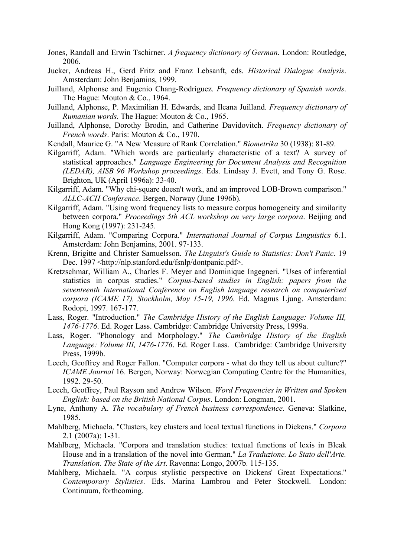- Jones, Randall and Erwin Tschirner. *A frequency dictionary of German*. London: Routledge, 2006.
- Jucker, Andreas H., Gerd Fritz and Franz Lebsanft, eds. *Historical Dialogue Analysis*. Amsterdam: John Benjamins, 1999.
- Juilland, Alphonse and Eugenio Chang-Rodríguez. *Frequency dictionary of Spanish words*. The Hague: Mouton & Co., 1964.
- Juilland, Alphonse, P. Maximilian H. Edwards, and Ileana Juilland. *Frequency dictionary of Rumanian words*. The Hague: Mouton & Co., 1965.
- Juilland, Alphonse, Dorothy Brodin, and Catherine Davidovitch. *Frequency dictionary of French words*. Paris: Mouton & Co., 1970.
- Kendall, Maurice G. "A New Measure of Rank Correlation." *Biometrika* 30 (1938): 81-89.
- Kilgarriff, Adam. "Which words are particularly characteristic of a text? A survey of statistical approaches." *Language Engineering for Document Analysis and Recognition (LEDAR), AISB 96 Workshop proceedings*. Eds. Lindsay J. Evett, and Tony G. Rose. Brighton, UK (April 1996a): 33-40.
- Kilgarriff, Adam. "Why chi-square doesn't work, and an improved LOB-Brown comparison." *ALLC-ACH Conference*. Bergen, Norway (June 1996b).
- Kilgarriff, Adam. "Using word frequency lists to measure corpus homogeneity and similarity between corpora." *Proceedings 5th ACL workshop on very large corpora*. Beijing and Hong Kong (1997): 231-245.
- Kilgarriff, Adam. "Comparing Corpora." *International Journal of Corpus Linguistics* 6.1. Amsterdam: John Benjamins, 2001. 97-133.
- Krenn, Brigitte and Christer Samuelsson. *The Linguist's Guide to Statistics: Don't Panic*. 19 Dec. 1997 <http://nlp.stanford.edu/fsnlp/dontpanic.pdf>.
- Kretzschmar, William A., Charles F. Meyer and Dominique Ingegneri. "Uses of inferential statistics in corpus studies." *Corpus-based studies in English: papers from the seventeenth International Conference on English language research on computerized corpora (ICAME 17), Stockholm, May 15-19, 1996*. Ed. Magnus Ljung. Amsterdam: Rodopi, 1997. 167-177.
- Lass, Roger. "Introduction." *The Cambridge History of the English Language: Volume III, 1476-1776*. Ed. Roger Lass. Cambridge: Cambridge University Press, 1999a.
- Lass, Roger. "Phonology and Morphology." *The Cambridge History of the English Language: Volume III, 1476-1776*. Ed. Roger Lass. Cambridge: Cambridge University Press, 1999b.
- Leech, Geoffrey and Roger Fallon. "Computer corpora what do they tell us about culture?" *ICAME Journal* 16. Bergen, Norway: Norwegian Computing Centre for the Humanities, 1992. 29-50.
- Leech, Geoffrey, Paul Rayson and Andrew Wilson. *Word Frequencies in Written and Spoken English: based on the British National Corpus*. London: Longman, 2001.
- Lyne, Anthony A. *The vocabulary of French business correspondence*. Geneva: Slatkine, 1985.
- Mahlberg, Michaela. "Clusters, key clusters and local textual functions in Dickens." *Corpora* 2.1 (2007a): 1-31.
- Mahlberg, Michaela. "Corpora and translation studies: textual functions of lexis in Bleak House and in a translation of the novel into German." *La Traduzione. Lo Stato dell'Arte. Translation. The State of the Art*. Ravenna: Longo, 2007b. 115-135.
- Mahlberg, Michaela. "A corpus stylistic perspective on Dickens' Great Expectations." *Contemporary Stylistics*. Eds. Marina Lambrou and Peter Stockwell. London: Continuum, forthcoming.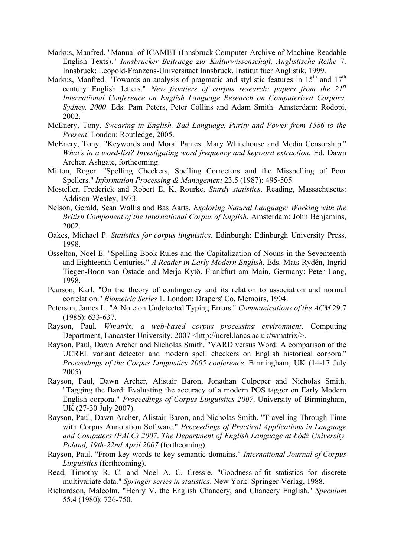- Markus, Manfred. "Manual of ICAMET (Innsbruck Computer-Archive of Machine-Readable English Texts)." *Innsbrucker Beitraege zur Kulturwissenschaft, Anglistische Reihe* 7. Innsbruck: Leopold-Franzens-Universitaet Innsbruck, Institut fuer Anglistik, 1999.
- Markus, Manfred. "Towards an analysis of pragmatic and stylistic features in 15<sup>th</sup> and 17<sup>th</sup> century English letters." *New frontiers of corpus research: papers from the 21st International Conference on English Language Research on Computerized Corpora, Sydney, 2000*. Eds. Pam Peters, Peter Collins and Adam Smith. Amsterdam: Rodopi, 2002.
- McEnery, Tony. *Swearing in English. Bad Language, Purity and Power from 1586 to the Present*. London: Routledge, 2005.
- McEnery, Tony. "Keywords and Moral Panics: Mary Whitehouse and Media Censorship." *What's in a word-list? Investigating word frequency and keyword extraction*. Ed. Dawn Archer. Ashgate, forthcoming.
- Mitton, Roger. "Spelling Checkers, Spelling Correctors and the Misspelling of Poor Spellers." *Information Processing & Management* 23.5 (1987): 495-505.
- Mosteller, Frederick and Robert E. K. Rourke. *Sturdy statistics*. Reading, Massachusetts: Addison-Wesley, 1973.
- Nelson, Gerald, Sean Wallis and Bas Aarts. *Exploring Natural Language: Working with the British Component of the International Corpus of English*. Amsterdam: John Benjamins, 2002.
- Oakes, Michael P. *Statistics for corpus linguistics*. Edinburgh: Edinburgh University Press, 1998.
- Osselton, Noel E. "Spelling-Book Rules and the Capitalization of Nouns in the Seventeenth and Eighteenth Centuries." *A Reader in Early Modern English*. Eds. Mats Rydén, Ingrid Tiegen-Boon van Ostade and Merja Kytö. Frankfurt am Main, Germany: Peter Lang, 1998.
- Pearson, Karl. "On the theory of contingency and its relation to association and normal correlation." *Biometric Series* 1. London: Drapers' Co. Memoirs, 1904.
- Peterson, James L. "A Note on Undetected Typing Errors." *Communications of the ACM* 29.7 (1986): 633-637.
- Rayson, Paul. *Wmatrix: a web-based corpus processing environment*. Computing Department, Lancaster University. 2007 <http://ucrel.lancs.ac.uk/wmatrix/>.
- Rayson, Paul, Dawn Archer and Nicholas Smith. "VARD versus Word: A comparison of the UCREL variant detector and modern spell checkers on English historical corpora." *Proceedings of the Corpus Linguistics 2005 conference*. Birmingham, UK (14-17 July 2005).
- Rayson, Paul, Dawn Archer, Alistair Baron, Jonathan Culpeper and Nicholas Smith. "Tagging the Bard: Evaluating the accuracy of a modern POS tagger on Early Modern English corpora." *Proceedings of Corpus Linguistics 2007*. University of Birmingham, UK (27-30 July 2007).
- Rayson, Paul, Dawn Archer, Alistair Baron, and Nicholas Smith. "Travelling Through Time with Corpus Annotation Software." *Proceedings of Practical Applications in Language and Computers (PALC) 2007. The Department of English Language at Łódź University, Poland, 19th-22nd April 2007* (forthcoming).
- Rayson, Paul. "From key words to key semantic domains." *International Journal of Corpus Linguistics* (forthcoming).
- Read, Timothy R. C. and Noel A. C. Cressie. "Goodness-of-fit statistics for discrete multivariate data." *Springer series in statistics*. New York: Springer-Verlag, 1988.
- Richardson, Malcolm. "Henry V, the English Chancery, and Chancery English." *Speculum* 55.4 (1980): 726-750.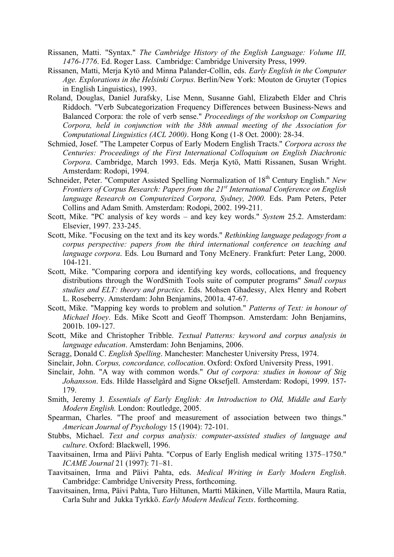- Rissanen, Matti. "Syntax." *The Cambridge History of the English Language: Volume III, 1476-1776*. Ed. Roger Lass. Cambridge: Cambridge University Press, 1999.
- Rissanen, Matti, Merja Kytö and Minna Palander-Collin, eds. *Early English in the Computer Age. Explorations in the Helsinki Corpus*. Berlin/New York: Mouton de Gruyter (Topics in English Linguistics), 1993.
- Roland, Douglas, Daniel Jurafsky, Lise Menn, Susanne Gahl, Elizabeth Elder and Chris Riddoch. "Verb Subcategorization Frequency Differences between Business-News and Balanced Corpora: the role of verb sense." *Proceedings of the workshop on Comparing Corpora, held in conjunction with the 38th annual meeting of the Association for Computational Linguistics (ACL 2000)*. Hong Kong (1-8 Oct. 2000): 28-34.
- Schmied, Josef. "The Lampeter Corpus of Early Modern English Tracts." *Corpora across the Centuries: Proceedings of the First International Colloquium on English Diachronic Corpora*. Cambridge, March 1993. Eds. Merja Kytö, Matti Rissanen, Susan Wright. Amsterdam: Rodopi, 1994.
- Schneider, Peter. "Computer Assisted Spelling Normalization of 18<sup>th</sup> Century English." New *Frontiers of Corpus Research: Papers from the 21st International Conference on English language Research on Computerized Corpora, Sydney, 2000*. Eds. Pam Peters, Peter Collins and Adam Smith. Amsterdam: Rodopi, 2002. 199-211.
- Scott, Mike. "PC analysis of key words and key key words." *System* 25.2. Amsterdam: Elsevier, 1997. 233-245.
- Scott, Mike. "Focusing on the text and its key words." *Rethinking language pedagogy from a corpus perspective: papers from the third international conference on teaching and language corpora*. Eds. Lou Burnard and Tony McEnery. Frankfurt: Peter Lang, 2000. 104-121.
- Scott, Mike. "Comparing corpora and identifying key words, collocations, and frequency distributions through the WordSmith Tools suite of computer programs" *Small corpus studies and ELT: theory and practice*. Eds. Mohsen Ghadessy, Alex Henry and Robert L. Roseberry. Amsterdam: John Benjamins, 2001a. 47-67.
- Scott, Mike. "Mapping key words to problem and solution." *Patterns of Text: in honour of Michael Hoey*. Eds. Mike Scott and Geoff Thompson. Amsterdam: John Benjamins, 2001b. 109-127.
- Scott, Mike and Christopher Tribble. *Textual Patterns: keyword and corpus analysis in language education*. Amsterdam: John Benjamins, 2006.
- Scragg, Donald C. *English Spelling*. Manchester: Manchester University Press, 1974.
- Sinclair, John. *Corpus, concordance, collocation*. Oxford: Oxford University Press, 1991.
- Sinclair, John. "A way with common words." *Out of corpora: studies in honour of Stig Johansson*. Eds. Hilde Hasselgård and Signe Oksefjell. Amsterdam: Rodopi, 1999. 157- 179.
- Smith, Jeremy J. *Essentials of Early English: An Introduction to Old, Middle and Early Modern English.* London: Routledge, 2005.
- Spearman, Charles. "The proof and measurement of association between two things." *American Journal of Psychology* 15 (1904): 72-101.
- Stubbs, Michael. *Text and corpus analysis: computer-assisted studies of language and culture*. Oxford: Blackwell, 1996.
- Taavitsainen, Irma and Päivi Pahta. "Corpus of Early English medical writing 1375–1750." *ICAME Journal* 21 (1997): 71–81.
- Taavitsainen, Irma and Päivi Pahta, eds. *Medical Writing in Early Modern English*. Cambridge: Cambridge University Press, forthcoming.
- Taavitsainen, Irma, Päivi Pahta, Turo Hiltunen, Martti Mäkinen, Ville Marttila, Maura Ratia, Carla Suhr and Jukka Tyrkkö. *Early Modern Medical Texts*. forthcoming.